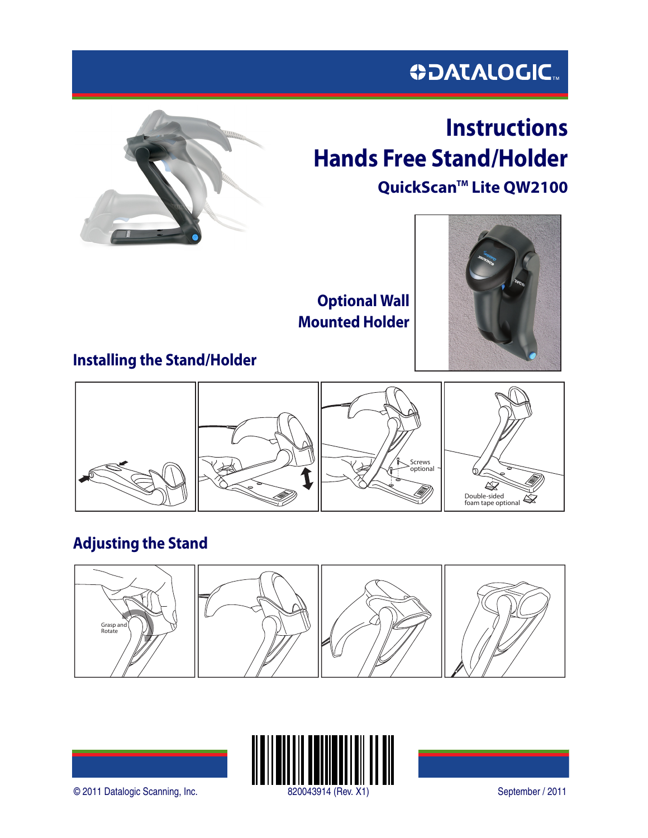# **ODATALOGIC.**



# **Instructions Hands Free Stand/Holder** QuickScan<sup>™</sup> Lite QW2100

**Optional Wall Mounted Holder**



# **Installing the Stand/Holder**



# **Adjusting the Stand**







© 2011 Datalogic Scanning, Inc. 820043914 (Rev. X1) September / 2011